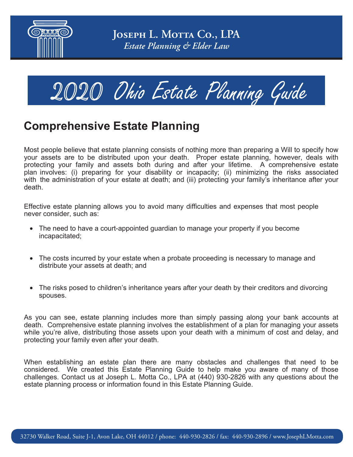

Ohio Estate Planning Guide

## **Comprehensive Estate Planning**

Most people believe that estate planning consists of nothing more than preparing a Will to specify how your assets are to be distributed upon your death. Proper estate planning, however, deals with protecting your family and assets both during and after your lifetime. A comprehensive estate plan involves: (i) preparing for your disability or incapacity; (ii) minimizing the risks associated with the administration of your estate at death; and (iii) protecting your family's inheritance after your death.

Effective estate planning allows you to avoid many difficulties and expenses that most people never consider, such as:

- The need to have a court-appointed guardian to manage your property if you become incapacitated;
- The costs incurred by your estate when a probate proceeding is necessary to manage and distribute your assets at death; and
- The risks posed to children's inheritance years after your death by their creditors and divorcing spouses.

As you can see, estate planning includes more than simply passing along your bank accounts at death. Comprehensive estate planning involves the establishment of a plan for managing your assets while you're alive, distributing those assets upon your death with a minimum of cost and delay, and protecting your family even after your death.

When establishing an estate plan there are many obstacles and challenges that need to be considered. We created this Estate Planning Guide to help make you aware of many of those challenges. Contact us at Joseph L. Motta Co., LPA at (440) 930-2826 with any questions about the estate planning process or information found in this Estate Planning Guide.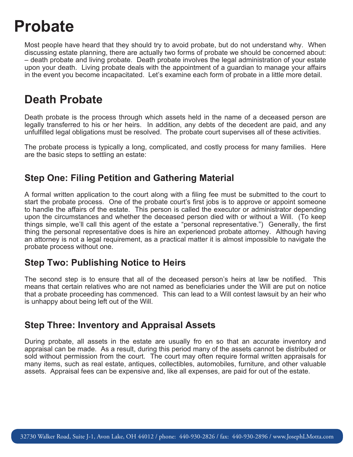# **Probate**

Most people have heard that they should try to avoid probate, but do not understand why. When discussing estate planning, there are actually two forms of probate we should be concerned about: – death probate and living probate. Death probate involves the legal administration of your estate upon your death. Living probate deals with the appointment of a guardian to manage your affairs in the event you become incapacitated. Let's examine each form of probate in a little more detail.

# **Death Probate**

Death probate is the process through which assets held in the name of a deceased person are legally transferred to his or her heirs. In addition, any debts of the decedent are paid, and any unfulfilled legal obligations must be resolved. The probate court supervises all of these activities.

The probate process is typically a long, complicated, and costly process for many families. Here are the basic steps to settling an estate:

## **Step One: Filing Petition and Gathering Material**

A formal written application to the court along with a filing fee must be submitted to the court to start the probate process. One of the probate court's first jobs is to approve or appoint someone to handle the affairs of the estate. This person is called the executor or administrator depending upon the circumstances and whether the deceased person died with or without a Will. (To keep things simple, we'll call this agent of the estate a "personal representative.") Generally, the first thing the personal representative does is hire an experienced probate attorney. Although having an attorney is not a legal requirement, as a practical matter it is almost impossible to navigate the probate process without one.

### **Step Two: Publishing Notice to Heirs**

The second step is to ensure that all of the deceased person's heirs at law be notified. This means that certain relatives who are not named as beneficiaries under the Will are put on notice that a probate proceeding has commenced. This can lead to a Will contest lawsuit by an heir who is unhappy about being left out of the Will.

### **Step Three: Inventory and Appraisal Assets**

During probate, all assets in the estate are usually fro en so that an accurate inventory and appraisal can be made. As a result, during this period many of the assets cannot be distributed or sold without permission from the court. The court may often require formal written appraisals for many items, such as real estate, antiques, collectibles, automobiles, furniture, and other valuable assets. Appraisal fees can be expensive and, like all expenses, are paid for out of the estate.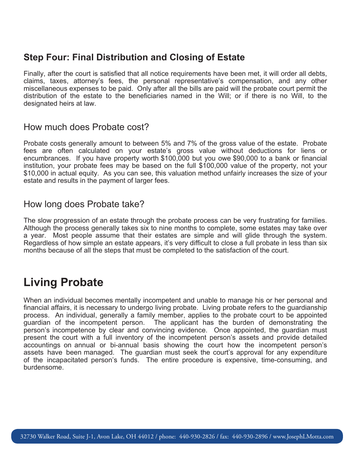### **Step Four: Final Distribution and Closing of Estate**

Finally, after the court is satisfied that all notice requirements have been met, it will order all debts, claims, taxes, attorney's fees, the personal representative's compensation, and any other miscellaneous expenses to be paid. Only after all the bills are paid will the probate court permit the distribution of the estate to the beneficiaries named in the Will; or if there is no Will, to the designated heirs at law.

### How much does Probate cost?

Probate costs generally amount to between 5% and 7% of the gross value of the estate. Probate fees are often calculated on your estate's gross value without deductions for liens or encumbrances. If you have property worth \$100,000 but you owe \$90,000 to a bank or financial institution, your probate fees may be based on the full \$100,000 value of the property, not your \$10,000 in actual equity. As you can see, this valuation method unfairly increases the size of your estate and results in the payment of larger fees.

### How long does Probate take?

The slow progression of an estate through the probate process can be very frustrating for families. Although the process generally takes six to nine months to complete, some estates may take over a year. Most people assume that their estates are simple and will glide through the system. Regardless of how simple an estate appears, it's very difficult to close a full probate in less than six months because of all the steps that must be completed to the satisfaction of the court.

# **Living Probate**

When an individual becomes mentally incompetent and unable to manage his or her personal and financial affairs, it is necessary to undergo living probate. Living probate refers to the guardianship process. An individual, generally a family member, applies to the probate court to be appointed guardian of the incompetent person. The applicant has the burden of demonstrating the person's incompetence by clear and convincing evidence. Once appointed, the guardian must present the court with a full inventory of the incompetent person's assets and provide detailed accountings on annual or bi-annual basis showing the court how the incompetent person's assets have been managed. The guardian must seek the court's approval for any expenditure of the incapacitated person's funds. The entire procedure is expensive, time-consuming, and burdensome.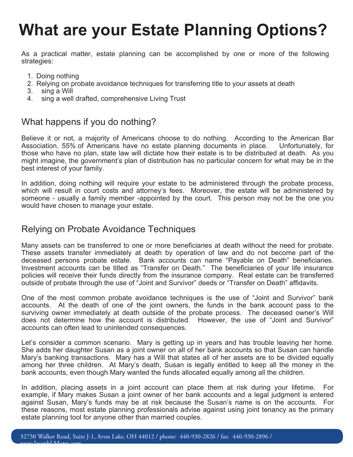# **What are your Estate Planning Options?**

As a practical matter, estate planning can be accomplished by one or more of the following strategies:

- 1. Doing nothing
- 2. Relying on probate avoidance techniques for transferring title to your assets at death
- 3. sing a Will
- 4. sing a well drafted, comprehensive Living Trust

## What happens if you do nothing?

Believe it or not, a majority of Americans choose to do nothing. According to the American Bar<br>Association, 55% of Americans have no estate planning documents in place. Unfortunately, for Association, 55% of Americans have no estate planning documents in place. those who have no plan, state law will dictate how their estate is to be distributed at death. As you might imagine, the government's plan of distribution has no particular concern for what may be in the best interest of your family.

In addition, doing nothing will require your estate to be administered through the probate process, which will result in court costs and attorney's fees. Moreover, the estate will be administered by someone - usually a family member -appointed by the court. This person may not be the one you would have chosen to manage your estate.

### Relying on Probate Avoidance Techniques

Many assets can be transferred to one or more beneficiaries at death without the need for probate. These assets transfer immediately at death by operation of law and do not become part of the deceased persons probate estate. Bank accounts can name "Payable on Death" beneficiaries. Investment accounts can be titled as "Transfer on Death." The beneficiaries of your life insurance policies will receive their funds directly from the insurance company. Real estate can be transferred outside of probate through the use of "Joint and Survivor" deeds or "Transfer on Death" affidavits.

One of the most common probate avoidance techniques is the use of "Joint and Survivor" bank accounts. At the death of one of the joint owners, the funds in the bank account pass to the surviving owner immediately at death outside of the probate process. The deceased owner's Will does not determine how the account is distributed. However, the use of "Joint and Survivor" accounts can often lead to unintended consequences.

Let's consider a common scenario. Mary is getting up in years and has trouble leaving her home. She adds her daughter Susan as a joint owner on all of her bank accounts so that Susan can handle Mary's banking transactions. Mary has a Will that states all of her assets are to be divided equally among her three children. At Mary's death, Susan is legally entitled to keep all the money in the bank accounts, even though Mary wanted the funds allocated equally among all the children.

In addition, placing assets in a joint account can place them at risk during your lifetime. For example, if Mary makes Susan a joint owner of her bank accounts and a legal judgment is entered against Susan, Mary's funds may be at risk because the Susan's name is on the accounts. For these reasons, most estate planning professionals advise against using joint tenancy as the primary estate planning tool for anyone other than married couples.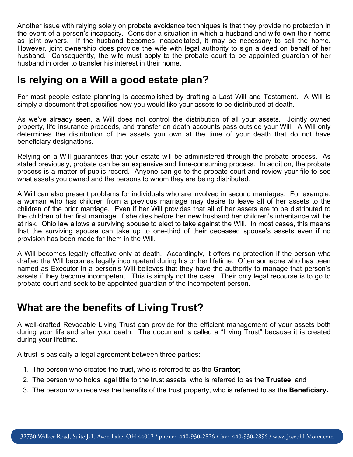Another issue with relying solely on probate avoidance techniques is that they provide no protection in the event of a person's incapacity. Consider a situation in which a husband and wife own their home as joint owners. If the husband becomes incapacitated, it may be necessary to sell the home. However, joint ownership does provide the wife with legal authority to sign a deed on behalf of her husband. Consequently, the wife must apply to the probate court to be appointed guardian of her husband in order to transfer his interest in their home.

## **Is relying on a Will a good estate plan?**

For most people estate planning is accomplished by drafting a Last Will and Testament. A Will is simply a document that specifies how you would like your assets to be distributed at death.

As we've already seen, a Will does not control the distribution of all your assets. Jointly owned property, life insurance proceeds, and transfer on death accounts pass outside your Will. A Will only determines the distribution of the assets you own at the time of your death that do not have beneficiary designations.

Relying on a Will guarantees that your estate will be administered through the probate process. As stated previously, probate can be an expensive and time-consuming process. In addition, the probate process is a matter of public record. Anyone can go to the probate court and review your file to see what assets you owned and the persons to whom they are being distributed.

A Will can also present problems for individuals who are involved in second marriages. For example, a woman who has children from a previous marriage may desire to leave all of her assets to the children of the prior marriage. Even if her Will provides that all of her assets are to be distributed to the children of her first marriage, if she dies before her new husband her children's inheritance will be at risk. Ohio law allows a surviving spouse to elect to take against the Will. In most cases, this means that the surviving spouse can take up to one-third of their deceased spouse's assets even if no provision has been made for them in the Will.

A Will becomes legally effective only at death. Accordingly, it offers no protection if the person who drafted the Will becomes legally incompetent during his or her lifetime. Often someone who has been named as Executor in a person's Will believes that they have the authority to manage that person's assets if they become incompetent. This is simply not the case. Their only legal recourse is to go to probate court and seek to be appointed guardian of the incompetent person.

## **What are the benefits of Living Trust?**

A well-drafted Revocable Living Trust can provide for the efficient management of your assets both during your life and after your death. The document is called a "Living Trust" because it is created during your lifetime.

A trust is basically a legal agreement between three parties:

- 1. The person who creates the trust, who is referred to as the **Grantor**;
- 2. The person who holds legal title to the trust assets, who is referred to as the **Trustee**; and
- 3. The person who receives the benefits of the trust property, who is referred to as the **Beneficiary.**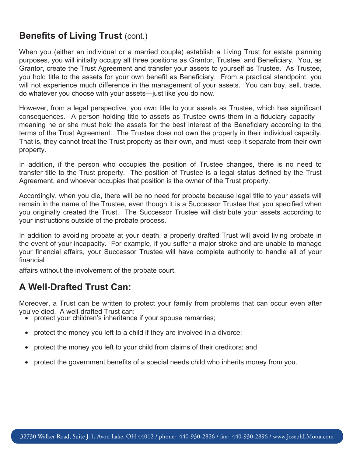## **Benefits of Living Trust (cont.)**

When you (either an individual or a married couple) establish a Living Trust for estate planning purposes, you will initially occupy all three positions as Grantor, Trustee, and Beneficiary. You, as Grantor, create the Trust Agreement and transfer your assets to yourself as Trustee. As Trustee, you hold title to the assets for your own benefit as Beneficiary. From a practical standpoint, you will not experience much difference in the management of your assets. You can buy, sell, trade, do whatever you choose with your assets—just like you do now.

However, from a legal perspective, you own title to your assets as Trustee, which has significant consequences. A person holding title to assets as Trustee owns them in a fiduciary capacity meaning he or she must hold the assets for the best interest of the Beneficiary according to the terms of the Trust Agreement. The Trustee does not own the property in their individual capacity. That is, they cannot treat the Trust property as their own, and must keep it separate from their own property.

In addition, if the person who occupies the position of Trustee changes, there is no need to transfer title to the Trust property. The position of Trustee is a legal status defined by the Trust Agreement, and whoever occupies that position is the owner of the Trust property.

Accordingly, when you die, there will be no need for probate because legal title to your assets will remain in the name of the Trustee, even though it is a Successor Trustee that you specified when you originally created the Trust. The Successor Trustee will distribute your assets according to your instructions outside of the probate process.

In addition to avoiding probate at your death, a properly drafted Trust will avoid living probate in the event of your incapacity. For example, if you suffer a major stroke and are unable to manage your financial affairs, your Successor Trustee will have complete authority to handle all of your financial

affairs without the involvement of the probate court.

### **A Well-Drafted Trust Can:**

Moreover, a Trust can be written to protect your family from problems that can occur even after you've died. A well-drafted Trust can:

- protect your children's inheritance if your spouse remarries;
- protect the money you left to a child if they are involved in a divorce;
- protect the money you left to your child from claims of their creditors; and
- protect the government benefits of a special needs child who inherits money from you.